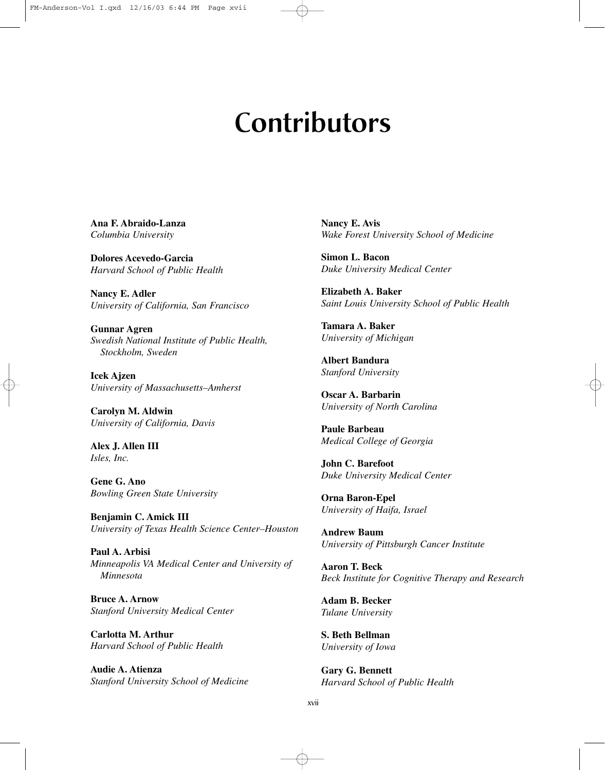## **Contributors**

**Ana F. Abraido-Lanza** *Columbia University*

**Dolores Acevedo-Garcia** *Harvard School of Public Health*

**Nancy E. Adler** *University of California, San Francisco*

**Gunnar Agren** *Swedish National Institute of Public Health, Stockholm, Sweden*

**Icek Ajzen** *University of Massachusetts–Amherst*

**Carolyn M. Aldwin** *University of California, Davis*

**Alex J. Allen III** *Isles, Inc.*

**Gene G. Ano** *Bowling Green State University*

**Benjamin C. Amick III** *University of Texas Health Science Center–Houston*

**Paul A. Arbisi** *Minneapolis VA Medical Center and University of Minnesota*

**Bruce A. Arnow** *Stanford University Medical Center*

**Carlotta M. Arthur** *Harvard School of Public Health*

**Audie A. Atienza** *Stanford University School of Medicine* **Nancy E. Avis** *Wake Forest University School of Medicine*

**Simon L. Bacon** *Duke University Medical Center*

**Elizabeth A. Baker** *Saint Louis University School of Public Health*

**Tamara A. Baker** *University of Michigan*

**Albert Bandura** *Stanford University*

**Oscar A. Barbarin** *University of North Carolina*

**Paule Barbeau** *Medical College of Georgia*

**John C. Barefoot** *Duke University Medical Center*

**Orna Baron-Epel** *University of Haifa, Israel*

**Andrew Baum** *University of Pittsburgh Cancer Institute*

**Aaron T. Beck** *Beck Institute for Cognitive Therapy and Research*

**Adam B. Becker** *Tulane University*

**S. Beth Bellman** *University of Iowa*

**Gary G. Bennett** *Harvard School of Public Health*

xvii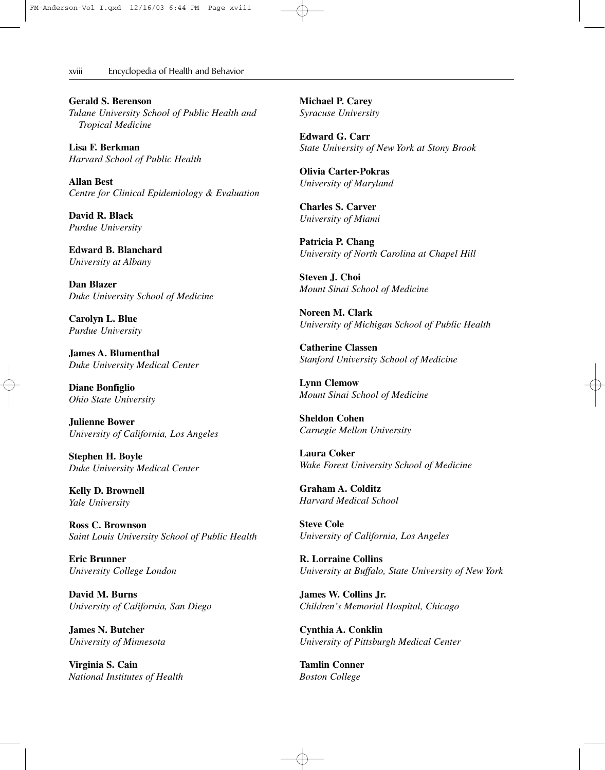xviii———Encyclopedia of Health and Behavior

**Gerald S. Berenson** *Tulane University School of Public Health and Tropical Medicine*

**Lisa F. Berkman** *Harvard School of Public Health*

**Allan Best** *Centre for Clinical Epidemiology & Evaluation*

**David R. Black** *Purdue University*

**Edward B. Blanchard** *University at Albany*

**Dan Blazer** *Duke University School of Medicine*

**Carolyn L. Blue** *Purdue University*

**James A. Blumenthal** *Duke University Medical Center*

**Diane Bonfiglio** *Ohio State University*

**Julienne Bower** *University of California, Los Angeles*

**Stephen H. Boyle** *Duke University Medical Center*

**Kelly D. Brownell** *Yale University*

**Ross C. Brownson** *Saint Louis University School of Public Health*

**Eric Brunner** *University College London*

**David M. Burns** *University of California, San Diego*

**James N. Butcher** *University of Minnesota*

**Virginia S. Cain** *National Institutes of Health* **Michael P. Carey** *Syracuse University*

**Edward G. Carr** *State University of New York at Stony Brook*

**Olivia Carter-Pokras** *University of Maryland*

**Charles S. Carver** *University of Miami*

**Patricia P. Chang** *University of North Carolina at Chapel Hill*

**Steven J. Choi** *Mount Sinai School of Medicine*

**Noreen M. Clark** *University of Michigan School of Public Health*

**Catherine Classen** *Stanford University School of Medicine*

**Lynn Clemow** *Mount Sinai School of Medicine*

**Sheldon Cohen** *Carnegie Mellon University*

**Laura Coker** *Wake Forest University School of Medicine*

**Graham A. Colditz** *Harvard Medical School*

**Steve Cole** *University of California, Los Angeles*

**R. Lorraine Collins** *University at Buffalo, State University of New York*

**James W. Collins Jr.** *Children's Memorial Hospital, Chicago*

**Cynthia A. Conklin** *University of Pittsburgh Medical Center*

**Tamlin Conner**  *Boston College*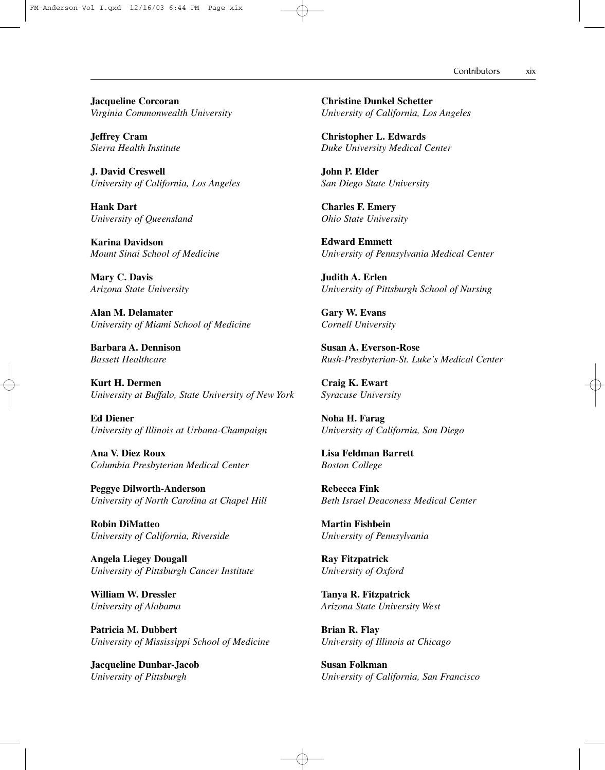## Contributors xix

**Jacqueline Corcoran** *Virginia Commonwealth University*

**Jeffrey Cram** *Sierra Health Institute*

**J. David Creswell** *University of California, Los Angeles*

**Hank Dart** *University of Queensland*

**Karina Davidson** *Mount Sinai School of Medicine*

**Mary C. Davis** *Arizona State University*

**Alan M. Delamater** *University of Miami School of Medicine*

**Barbara A. Dennison** *Bassett Healthcare*

**Kurt H. Dermen** *University at Buffalo, State University of New York*

**Ed Diener** *University of Illinois at Urbana-Champaign*

**Ana V. Diez Roux** *Columbia Presbyterian Medical Center*

**Peggye Dilworth-Anderson** *University of North Carolina at Chapel Hill*

**Robin DiMatteo** *University of California, Riverside*

**Angela Liegey Dougall** *University of Pittsburgh Cancer Institute*

**William W. Dressler** *University of Alabama*

**Patricia M. Dubbert** *University of Mississippi School of Medicine*

**Jacqueline Dunbar-Jacob** *University of Pittsburgh*

**Christine Dunkel Schetter** *University of California, Los Angeles*

**Christopher L. Edwards** *Duke University Medical Center*

**John P. Elder** *San Diego State University*

**Charles F. Emery** *Ohio State University*

**Edward Emmett** *University of Pennsylvania Medical Center*

**Judith A. Erlen** *University of Pittsburgh School of Nursing*

**Gary W. Evans** *Cornell University*

**Susan A. Everson-Rose** *Rush-Presbyterian-St. Luke's Medical Center*

**Craig K. Ewart** *Syracuse University*

**Noha H. Farag** *University of California, San Diego*

**Lisa Feldman Barrett** *Boston College*

**Rebecca Fink** *Beth Israel Deaconess Medical Center*

**Martin Fishbein** *University of Pennsylvania*

**Ray Fitzpatrick** *University of Oxford*

**Tanya R. Fitzpatrick** *Arizona State University West*

**Brian R. Flay** *University of Illinois at Chicago*

**Susan Folkman** *University of California, San Francisco*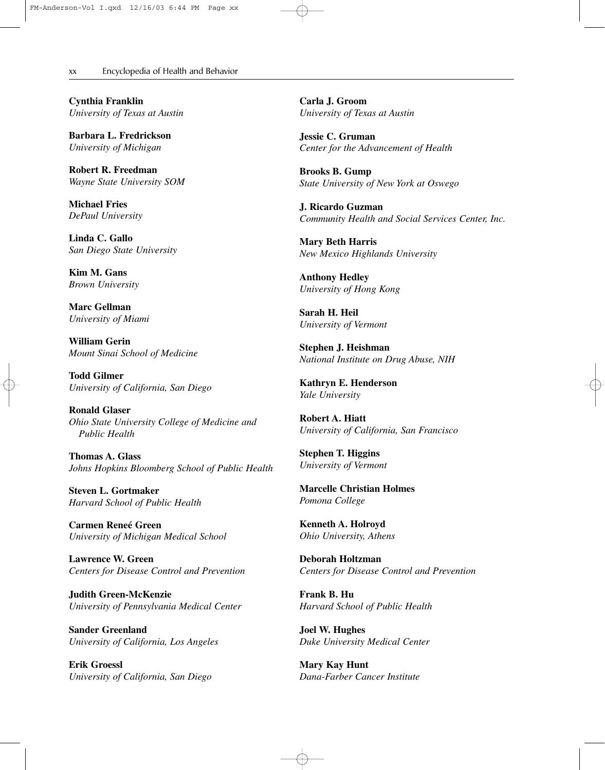xx———Encyclopedia of Health and Behavior

**Cynthia Franklin** *University of Texas at Austin*

**Barbara L. Fredrickson** *University of Michigan*

**Robert R. Freedman** *Wayne State University SOM*

**Michael Fries** *DePaul University*

**Linda C. Gallo** *San Diego State University*

**Kim M. Gans** *Brown University*

**Marc Gellman** *University of Miami*

**William Gerin** *Mount Sinai School of Medicine*

**Todd Gilmer** *University of California, San Diego*

**Ronald Glaser** *Ohio State University College of Medicine and Public Health*

**Thomas A. Glass** *Johns Hopkins Bloomberg School of Public Health*

**Steven L. Gortmaker** *Harvard School of Public Health*

**Carmen Reneé Green** *University of Michigan Medical School*

**Lawrence W. Green** *Centers for Disease Control and Prevention*

**Judith Green-McKenzie** *University of Pennsylvania Medical Center*

**Sander Greenland** *University of California, Los Angeles*

**Erik Groessl** *University of California, San Diego* **Carla J. Groom** *University of Texas at Austin*

**Jessie C. Gruman** *Center for the Advancement of Health*

**Brooks B. Gump** *State University of New York at Oswego*

**J. Ricardo Guzman** *Community Health and Social Services Center, Inc.*

**Mary Beth Harris** *New Mexico Highlands University*

**Anthony Hedley** *University of Hong Kong*

**Sarah H. Heil** *University of Vermont*

**Stephen J. Heishman** *National Institute on Drug Abuse, NIH*

**Kathryn E. Henderson** *Yale University*

**Robert A. Hiatt** *University of California, San Francisco*

**Stephen T. Higgins** *University of Vermont*

**Marcelle Christian Holmes** *Pomona College*

**Kenneth A. Holroyd** *Ohio University, Athens*

**Deborah Holtzman** *Centers for Disease Control and Prevention*

**Frank B. Hu** *Harvard School of Public Health*

**Joel W. Hughes** *Duke University Medical Center*

**Mary Kay Hunt** *Dana-Farber Cancer Institute*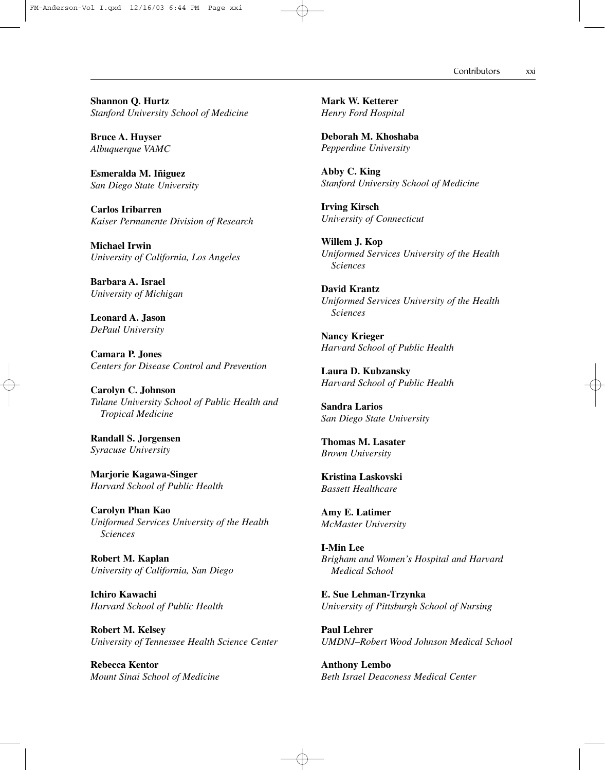Contributors xxi

**Shannon Q. Hurtz** *Stanford University School of Medicine*

**Bruce A. Huyser** *Albuquerque VAMC*

**Esmeralda M. Iñiguez** *San Diego State University*

**Carlos Iribarren** *Kaiser Permanente Division of Research*

**Michael Irwin** *University of California, Los Angeles*

**Barbara A. Israel** *University of Michigan*

**Leonard A. Jason** *DePaul University*

**Camara P. Jones** *Centers for Disease Control and Prevention*

**Carolyn C. Johnson** *Tulane University School of Public Health and Tropical Medicine*

**Randall S. Jorgensen** *Syracuse University*

**Marjorie Kagawa-Singer** *Harvard School of Public Health*

**Carolyn Phan Kao** *Uniformed Services University of the Health Sciences*

**Robert M. Kaplan** *University of California, San Diego*

**Ichiro Kawachi** *Harvard School of Public Health*

**Robert M. Kelsey** *University of Tennessee Health Science Center*

**Rebecca Kentor** *Mount Sinai School of Medicine* **Mark W. Ketterer** *Henry Ford Hospital*

**Deborah M. Khoshaba** *Pepperdine University*

**Abby C. King** *Stanford University School of Medicine*

**Irving Kirsch** *University of Connecticut*

**Willem J. Kop** *Uniformed Services University of the Health Sciences*

**David Krantz** *Uniformed Services University of the Health Sciences*

**Nancy Krieger** *Harvard School of Public Health*

**Laura D. Kubzansky** *Harvard School of Public Health*

**Sandra Larios** *San Diego State University*

**Thomas M. Lasater** *Brown University*

**Kristina Laskovski** *Bassett Healthcare*

**Amy E. Latimer** *McMaster University*

**I-Min Lee** *Brigham and Women's Hospital and Harvard Medical School*

**E. Sue Lehman-Trzynka** *University of Pittsburgh School of Nursing*

**Paul Lehrer** *UMDNJ–Robert Wood Johnson Medical School*

**Anthony Lembo** *Beth Israel Deaconess Medical Center*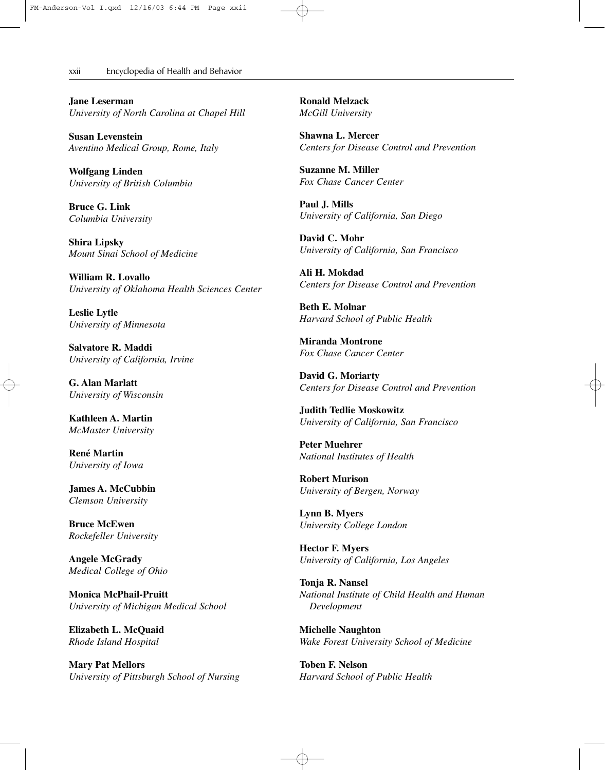## xxii———Encyclopedia of Health and Behavior

**Jane Leserman** *University of North Carolina at Chapel Hill*

**Susan Levenstein** *Aventino Medical Group, Rome, Italy*

**Wolfgang Linden** *University of British Columbia*

**Bruce G. Link** *Columbia University*

**Shira Lipsky** *Mount Sinai School of Medicine*

**William R. Lovallo** *University of Oklahoma Health Sciences Center*

**Leslie Lytle** *University of Minnesota*

**Salvatore R. Maddi** *University of California, Irvine*

**G. Alan Marlatt** *University of Wisconsin*

**Kathleen A. Martin** *McMaster University*

**René Martin** *University of Iowa*

**James A. McCubbin** *Clemson University*

**Bruce McEwen** *Rockefeller University*

**Angele McGrady** *Medical College of Ohio*

**Monica McPhail-Pruitt** *University of Michigan Medical School*

**Elizabeth L. McQuaid** *Rhode Island Hospital*

**Mary Pat Mellors** *University of Pittsburgh School of Nursing* **Ronald Melzack** *McGill University*

**Shawna L. Mercer** *Centers for Disease Control and Prevention*

**Suzanne M. Miller** *Fox Chase Cancer Center*

**Paul J. Mills** *University of California, San Diego*

**David C. Mohr** *University of California, San Francisco*

**Ali H. Mokdad** *Centers for Disease Control and Prevention*

**Beth E. Molnar** *Harvard School of Public Health*

**Miranda Montrone** *Fox Chase Cancer Center*

**David G. Moriarty** *Centers for Disease Control and Prevention*

**Judith Tedlie Moskowitz** *University of California, San Francisco*

**Peter Muehrer** *National Institutes of Health*

**Robert Murison** *University of Bergen, Norway*

**Lynn B. Myers** *University College London*

**Hector F. Myers** *University of California, Los Angeles*

**Tonja R. Nansel** *National Institute of Child Health and Human Development*

**Michelle Naughton** *Wake Forest University School of Medicine*

**Toben F. Nelson** *Harvard School of Public Health*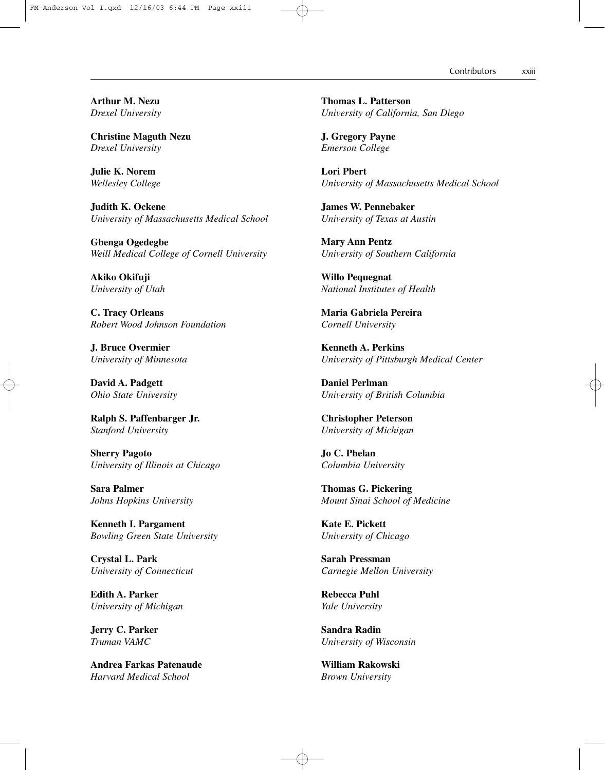Contributors xxiii

**Arthur M. Nezu** *Drexel University*

**Christine Maguth Nezu** *Drexel University*

**Julie K. Norem** *Wellesley College*

**Judith K. Ockene** *University of Massachusetts Medical School*

**Gbenga Ogedegbe** *Weill Medical College of Cornell University*

**Akiko Okifuji** *University of Utah*

**C. Tracy Orleans** *Robert Wood Johnson Foundation*

**J. Bruce Overmier** *University of Minnesota*

**David A. Padgett** *Ohio State University*

**Ralph S. Paffenbarger Jr.** *Stanford University*

**Sherry Pagoto** *University of Illinois at Chicago*

**Sara Palmer** *Johns Hopkins University*

**Kenneth I. Pargament** *Bowling Green State University*

**Crystal L. Park** *University of Connecticut*

**Edith A. Parker** *University of Michigan*

**Jerry C. Parker** *Truman VAMC*

**Andrea Farkas Patenaude** *Harvard Medical School*

**Thomas L. Patterson** *University of California, San Diego*

**J. Gregory Payne** *Emerson College*

**Lori Pbert** *University of Massachusetts Medical School*

**James W. Pennebaker** *University of Texas at Austin*

**Mary Ann Pentz** *University of Southern California*

**Willo Pequegnat** *National Institutes of Health*

**Maria Gabriela Pereira** *Cornell University*

**Kenneth A. Perkins** *University of Pittsburgh Medical Center*

**Daniel Perlman** *University of British Columbia*

**Christopher Peterson** *University of Michigan*

**Jo C. Phelan** *Columbia University*

**Thomas G. Pickering** *Mount Sinai School of Medicine*

**Kate E. Pickett** *University of Chicago*

**Sarah Pressman** *Carnegie Mellon University*

**Rebecca Puhl** *Yale University*

**Sandra Radin** *University of Wisconsin*

**William Rakowski** *Brown University*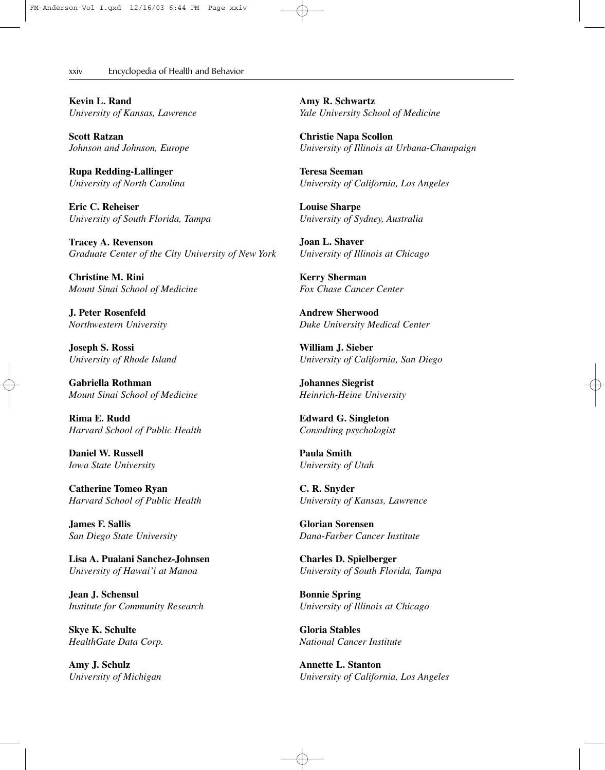xxiv———Encyclopedia of Health and Behavior

**Kevin L. Rand** *University of Kansas, Lawrence*

**Scott Ratzan** *Johnson and Johnson, Europe*

**Rupa Redding-Lallinger** *University of North Carolina*

**Eric C. Reheiser** *University of South Florida, Tampa*

**Tracey A. Revenson** *Graduate Center of the City University of New York*

**Christine M. Rini** *Mount Sinai School of Medicine*

**J. Peter Rosenfeld** *Northwestern University*

**Joseph S. Rossi** *University of Rhode Island*

**Gabriella Rothman** *Mount Sinai School of Medicine*

**Rima E. Rudd** *Harvard School of Public Health*

**Daniel W. Russell** *Iowa State University*

**Catherine Tomeo Ryan** *Harvard School of Public Health*

**James F. Sallis** *San Diego State University*

**Lisa A. Pualani Sanchez-Johnsen** *University of Hawai'i at Manoa*

**Jean J. Schensul** *Institute for Community Research*

**Skye K. Schulte** *HealthGate Data Corp.*

**Amy J. Schulz** *University of Michigan* **Amy R. Schwartz** *Yale University School of Medicine*

**Christie Napa Scollon** *University of Illinois at Urbana-Champaign*

**Teresa Seeman** *University of California, Los Angeles*

**Louise Sharpe** *University of Sydney, Australia*

**Joan L. Shaver** *University of Illinois at Chicago*

**Kerry Sherman** *Fox Chase Cancer Center*

**Andrew Sherwood** *Duke University Medical Center*

**William J. Sieber** *University of California, San Diego*

**Johannes Siegrist** *Heinrich-Heine University*

**Edward G. Singleton** *Consulting psychologist*

**Paula Smith** *University of Utah*

**C. R. Snyder** *University of Kansas, Lawrence*

**Glorian Sorensen** *Dana-Farber Cancer Institute*

**Charles D. Spielberger** *University of South Florida, Tampa*

**Bonnie Spring** *University of Illinois at Chicago*

**Gloria Stables** *National Cancer Institute*

**Annette L. Stanton** *University of California, Los Angeles*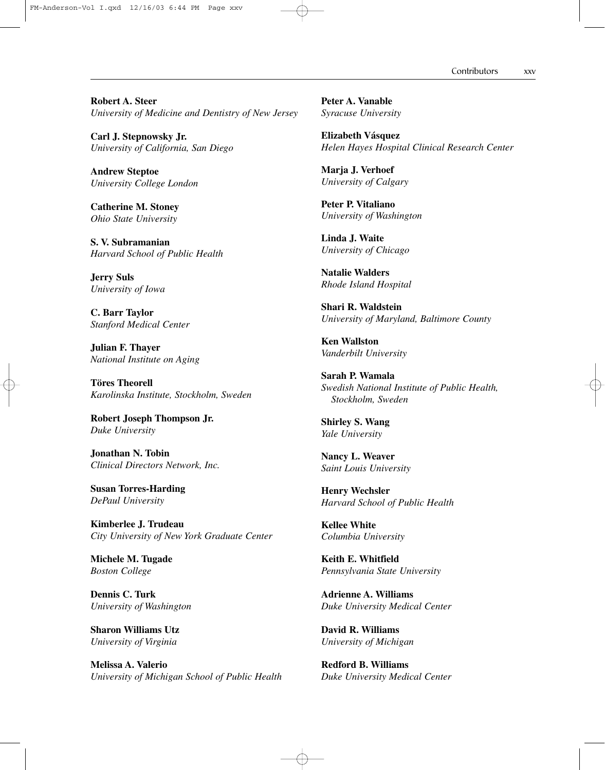Contributors xxv

**Robert A. Steer** *University of Medicine and Dentistry of New Jersey*

**Carl J. Stepnowsky Jr.** *University of California, San Diego*

**Andrew Steptoe** *University College London*

**Catherine M. Stoney** *Ohio State University*

**S. V. Subramanian** *Harvard School of Public Health*

**Jerry Suls** *University of Iowa*

**C. Barr Taylor** *Stanford Medical Center*

**Julian F. Thayer** *National Institute on Aging*

**Töres Theorell** *Karolinska Institute, Stockholm, Sweden*

**Robert Joseph Thompson Jr.** *Duke University*

**Jonathan N. Tobin** *Clinical Directors Network, Inc.*

**Susan Torres-Harding** *DePaul University*

**Kimberlee J. Trudeau** *City University of New York Graduate Center*

**Michele M. Tugade** *Boston College*

**Dennis C. Turk** *University of Washington*

**Sharon Williams Utz** *University of Virginia*

**Melissa A. Valerio** *University of Michigan School of Public Health* **Peter A. Vanable** *Syracuse University*

**Elizabeth Vásquez** *Helen Hayes Hospital Clinical Research Center*

**Marja J. Verhoef** *University of Calgary*

**Peter P. Vitaliano** *University of Washington*

**Linda J. Waite** *University of Chicago*

**Natalie Walders** *Rhode Island Hospital*

**Shari R. Waldstein** *University of Maryland, Baltimore County*

**Ken Wallston** *Vanderbilt University*

**Sarah P. Wamala** *Swedish National Institute of Public Health, Stockholm, Sweden*

**Shirley S. Wang** *Yale University*

**Nancy L. Weaver** *Saint Louis University*

**Henry Wechsler** *Harvard School of Public Health*

**Kellee White** *Columbia University*

**Keith E. Whitfield** *Pennsylvania State University*

**Adrienne A. Williams** *Duke University Medical Center*

**David R. Williams** *University of Michigan*

**Redford B. Williams** *Duke University Medical Center*